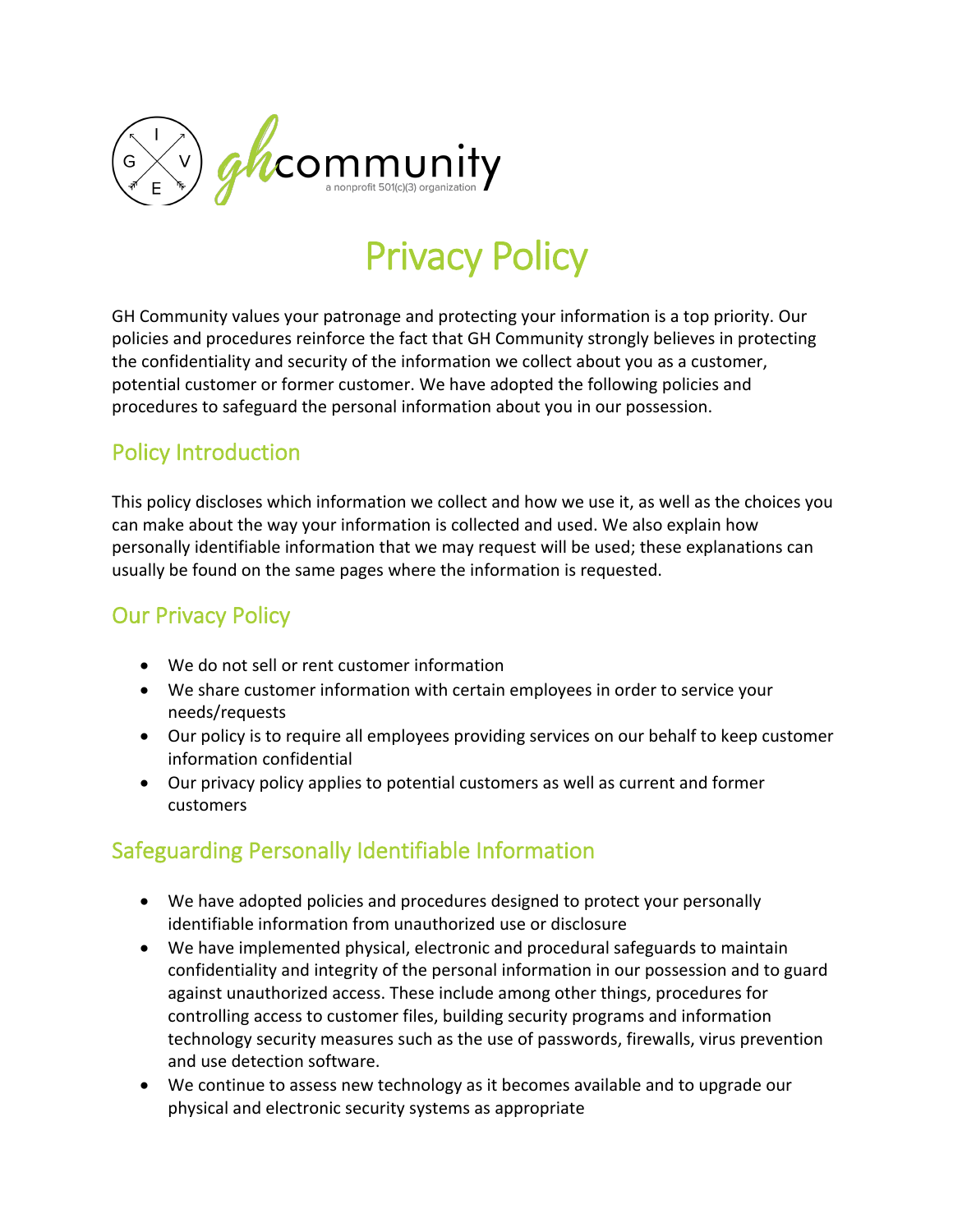

# Privacy Policy

GH Community values your patronage and protecting your information is a top priority. Our policies and procedures reinforce the fact that GH Community strongly believes in protecting the confidentiality and security of the information we collect about you as a customer, potential customer or former customer. We have adopted the following policies and procedures to safeguard the personal information about you in our possession.

### Policy Introduction

This policy discloses which information we collect and how we use it, as well as the choices you can make about the way your information is collected and used. We also explain how personally identifiable information that we may request will be used; these explanations can usually be found on the same pages where the information is requested.

## Our Privacy Policy

- We do not sell or rent customer information
- We share customer information with certain employees in order to service your needs/requests
- Our policy is to require all employees providing services on our behalf to keep customer information confidential
- Our privacy policy applies to potential customers as well as current and former customers

# Safeguarding Personally Identifiable Information

- We have adopted policies and procedures designed to protect your personally identifiable information from unauthorized use or disclosure
- We have implemented physical, electronic and procedural safeguards to maintain confidentiality and integrity of the personal information in our possession and to guard against unauthorized access. These include among other things, procedures for controlling access to customer files, building security programs and information technology security measures such as the use of passwords, firewalls, virus prevention and use detection software.
- We continue to assess new technology as it becomes available and to upgrade our physical and electronic security systems as appropriate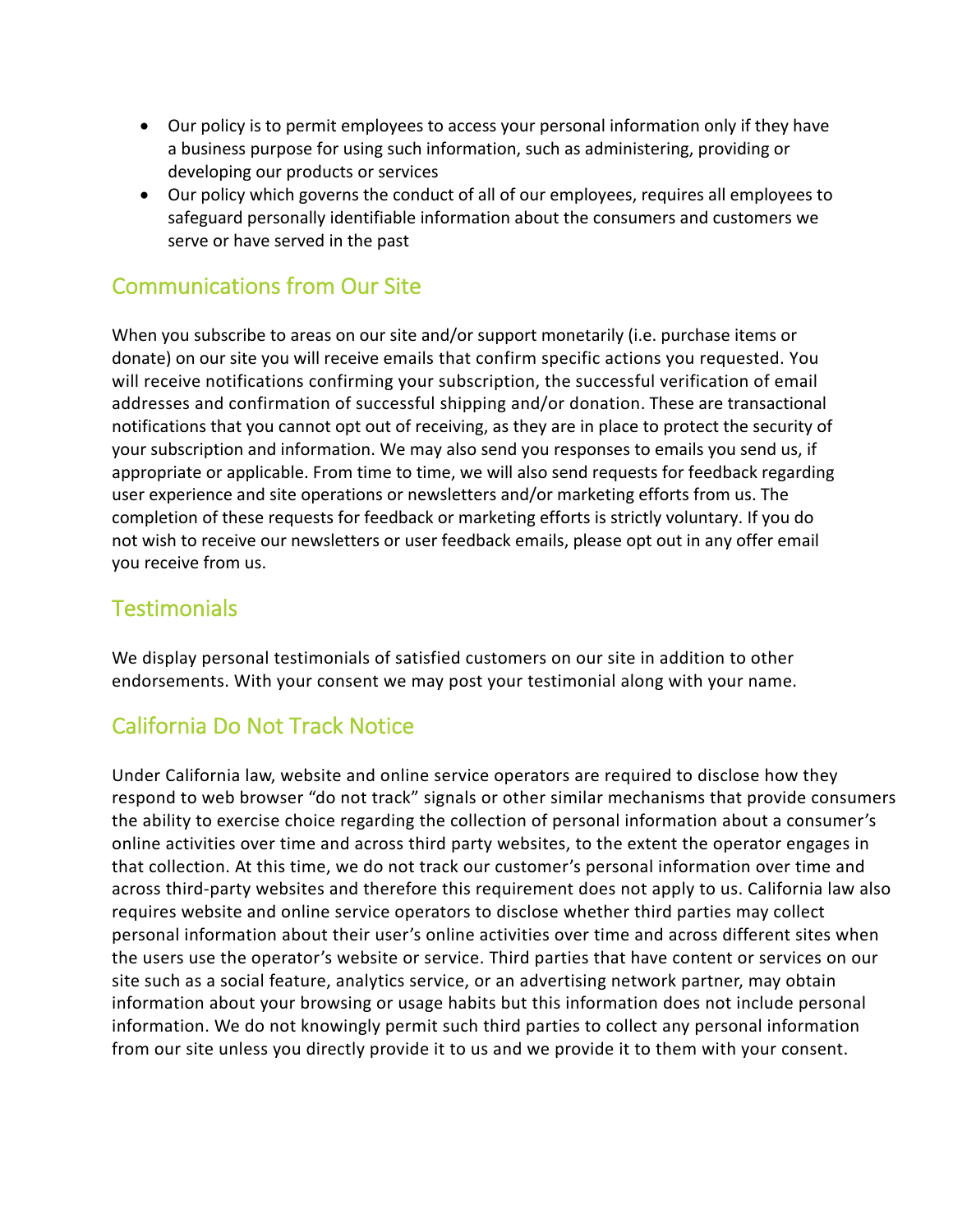- Our policy is to permit employees to access your personal information only if they have a business purpose for using such information, such as administering, providing or developing our products or services
- Our policy which governs the conduct of all of our employees, requires all employees to safeguard personally identifiable information about the consumers and customers we serve or have served in the past

#### Communications from Our Site

When you subscribe to areas on our site and/or support monetarily (i.e. purchase items or donate) on our site you will receive emails that confirm specific actions you requested. You will receive notifications confirming your subscription, the successful verification of email addresses and confirmation of successful shipping and/or donation. These are transactional notifications that you cannot opt out of receiving, as they are in place to protect the security of your subscription and information. We may also send you responses to emails you send us, if appropriate or applicable. From time to time, we will also send requests for feedback regarding user experience and site operations or newsletters and/or marketing efforts from us. The completion of these requests for feedback or marketing efforts is strictly voluntary. If you do not wish to receive our newsletters or user feedback emails, please opt out in any offer email you receive from us.

#### **Testimonials**

We display personal testimonials of satisfied customers on our site in addition to other endorsements. With your consent we may post your testimonial along with your name.

### California Do Not Track Notice

Under California law, website and online service operators are required to disclose how they respond to web browser "do not track" signals or other similar mechanisms that provide consumers the ability to exercise choice regarding the collection of personal information about a consumer's online activities over time and across third party websites, to the extent the operator engages in that collection. At this time, we do not track our customer's personal information over time and across third-party websites and therefore this requirement does not apply to us. California law also requires website and online service operators to disclose whether third parties may collect personal information about their user's online activities over time and across different sites when the users use the operator's website or service. Third parties that have content or services on our site such as a social feature, analytics service, or an advertising network partner, may obtain information about your browsing or usage habits but this information does not include personal information. We do not knowingly permit such third parties to collect any personal information from our site unless you directly provide it to us and we provide it to them with your consent.